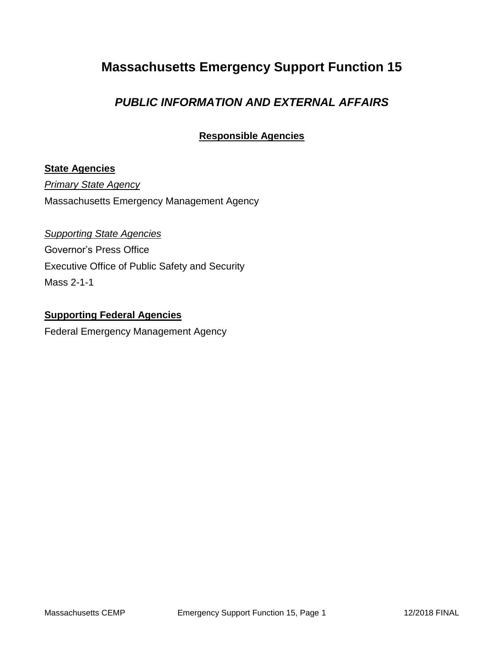# **Massachusetts Emergency Support Function 15**

### *PUBLIC INFORMATION AND EXTERNAL AFFAIRS*

### **Responsible Agencies**

#### **State Agencies**

*Primary State Agency* Massachusetts Emergency Management Agency

*Supporting State Agencies*  Governor's Press Office Executive Office of Public Safety and Security Mass 2-1-1

### **Supporting Federal Agencies**

Federal Emergency Management Agency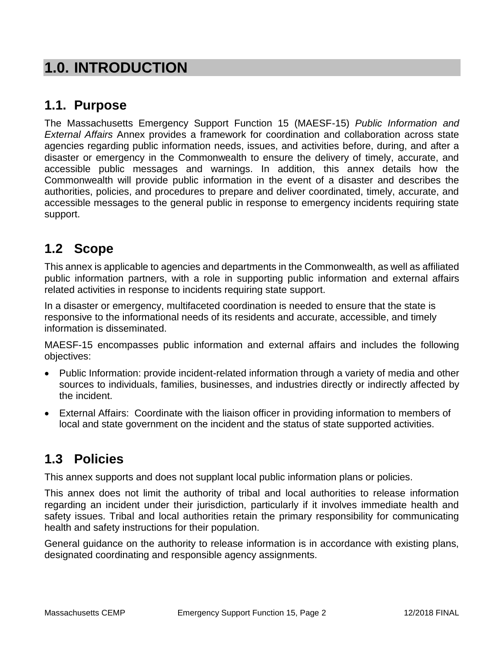# **1.0. INTRODUCTION**

### **1.1. Purpose**

The Massachusetts Emergency Support Function 15 (MAESF-15) *Public Information and External Affairs* Annex provides a framework for coordination and collaboration across state agencies regarding public information needs, issues, and activities before, during, and after a disaster or emergency in the Commonwealth to ensure the delivery of timely, accurate, and accessible public messages and warnings. In addition, this annex details how the Commonwealth will provide public information in the event of a disaster and describes the authorities, policies, and procedures to prepare and deliver coordinated, timely, accurate, and accessible messages to the general public in response to emergency incidents requiring state support.

# **1.2 Scope**

This annex is applicable to agencies and departments in the Commonwealth, as well as affiliated public information partners, with a role in supporting public information and external affairs related activities in response to incidents requiring state support.

In a disaster or emergency, multifaceted coordination is needed to ensure that the state is responsive to the informational needs of its residents and accurate, accessible, and timely information is disseminated.

MAESF-15 encompasses public information and external affairs and includes the following objectives:

- Public Information: provide incident-related information through a variety of media and other sources to individuals, families, businesses, and industries directly or indirectly affected by the incident.
- External Affairs: Coordinate with the liaison officer in providing information to members of local and state government on the incident and the status of state supported activities.

# **1.3 Policies**

This annex supports and does not supplant local public information plans or policies.

This annex does not limit the authority of tribal and local authorities to release information regarding an incident under their jurisdiction, particularly if it involves immediate health and safety issues. Tribal and local authorities retain the primary responsibility for communicating health and safety instructions for their population.

General guidance on the authority to release information is in accordance with existing plans, designated coordinating and responsible agency assignments.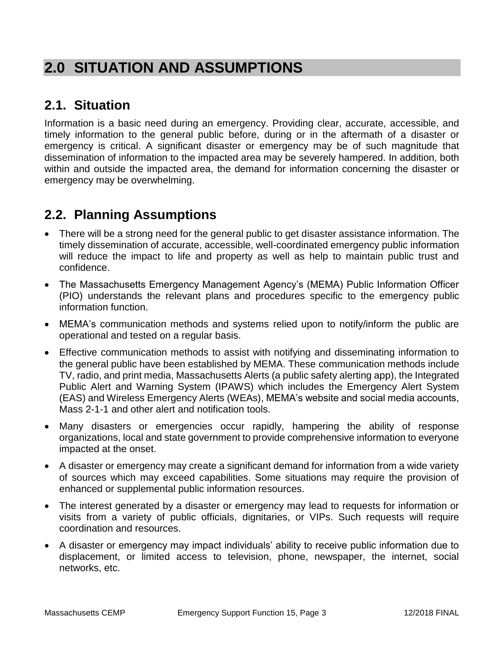# **2.0 SITUATION AND ASSUMPTIONS**

# **2.1. Situation**

Information is a basic need during an emergency. Providing clear, accurate, accessible, and timely information to the general public before, during or in the aftermath of a disaster or emergency is critical. A significant disaster or emergency may be of such magnitude that dissemination of information to the impacted area may be severely hampered. In addition, both within and outside the impacted area, the demand for information concerning the disaster or emergency may be overwhelming.

## **2.2. Planning Assumptions**

- There will be a strong need for the general public to get disaster assistance information. The timely dissemination of accurate, accessible, well-coordinated emergency public information will reduce the impact to life and property as well as help to maintain public trust and confidence.
- The Massachusetts Emergency Management Agency's (MEMA) Public Information Officer (PIO) understands the relevant plans and procedures specific to the emergency public information function.
- MEMA's communication methods and systems relied upon to notify/inform the public are operational and tested on a regular basis.
- Effective communication methods to assist with notifying and disseminating information to the general public have been established by MEMA. These communication methods include TV, radio, and print media, Massachusetts Alerts (a public safety alerting app), the Integrated Public Alert and Warning System (IPAWS) which includes the Emergency Alert System (EAS) and Wireless Emergency Alerts (WEAs), MEMA's website and social media accounts, Mass 2-1-1 and other alert and notification tools.
- Many disasters or emergencies occur rapidly, hampering the ability of response organizations, local and state government to provide comprehensive information to everyone impacted at the onset.
- A disaster or emergency may create a significant demand for information from a wide variety of sources which may exceed capabilities. Some situations may require the provision of enhanced or supplemental public information resources.
- The interest generated by a disaster or emergency may lead to requests for information or visits from a variety of public officials, dignitaries, or VIPs. Such requests will require coordination and resources.
- A disaster or emergency may impact individuals' ability to receive public information due to displacement, or limited access to television, phone, newspaper, the internet, social networks, etc.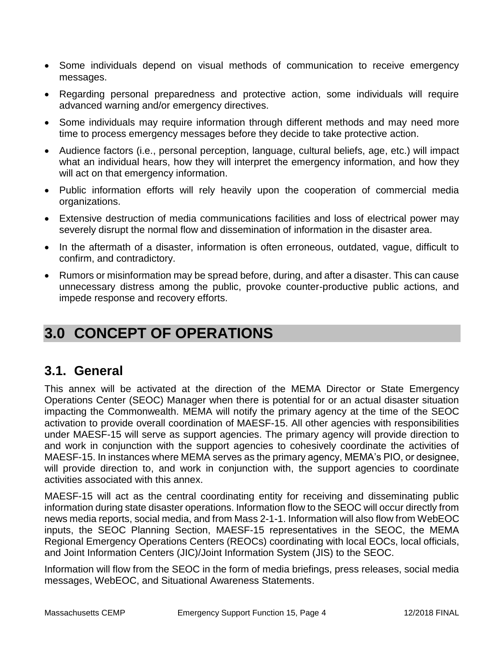- Some individuals depend on visual methods of communication to receive emergency messages.
- Regarding personal preparedness and protective action, some individuals will require advanced warning and/or emergency directives.
- Some individuals may require information through different methods and may need more time to process emergency messages before they decide to take protective action.
- Audience factors (i.e., personal perception, language, cultural beliefs, age, etc.) will impact what an individual hears, how they will interpret the emergency information, and how they will act on that emergency information.
- Public information efforts will rely heavily upon the cooperation of commercial media organizations.
- Extensive destruction of media communications facilities and loss of electrical power may severely disrupt the normal flow and dissemination of information in the disaster area.
- In the aftermath of a disaster, information is often erroneous, outdated, vague, difficult to confirm, and contradictory.
- Rumors or misinformation may be spread before, during, and after a disaster. This can cause unnecessary distress among the public, provoke counter-productive public actions, and impede response and recovery efforts.

# **3.0 CONCEPT OF OPERATIONS**

### **3.1. General**

This annex will be activated at the direction of the MEMA Director or State Emergency Operations Center (SEOC) Manager when there is potential for or an actual disaster situation impacting the Commonwealth. MEMA will notify the primary agency at the time of the SEOC activation to provide overall coordination of MAESF-15. All other agencies with responsibilities under MAESF-15 will serve as support agencies. The primary agency will provide direction to and work in conjunction with the support agencies to cohesively coordinate the activities of MAESF-15. In instances where MEMA serves as the primary agency, MEMA's PIO, or designee, will provide direction to, and work in conjunction with, the support agencies to coordinate activities associated with this annex.

MAESF-15 will act as the central coordinating entity for receiving and disseminating public information during state disaster operations. Information flow to the SEOC will occur directly from news media reports, social media, and from Mass 2-1-1. Information will also flow from WebEOC inputs, the SEOC Planning Section, MAESF-15 representatives in the SEOC, the MEMA Regional Emergency Operations Centers (REOCs) coordinating with local EOCs, local officials, and Joint Information Centers (JIC)/Joint Information System (JIS) to the SEOC.

Information will flow from the SEOC in the form of media briefings, press releases, social media messages, WebEOC, and Situational Awareness Statements.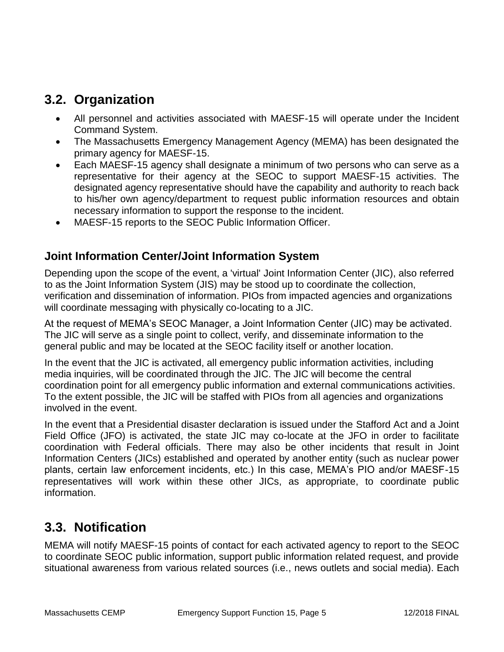### **3.2. Organization**

- All personnel and activities associated with MAESF-15 will operate under the Incident Command System.
- The Massachusetts Emergency Management Agency (MEMA) has been designated the primary agency for MAESF-15.
- Each MAESF-15 agency shall designate a minimum of two persons who can serve as a representative for their agency at the SEOC to support MAESF-15 activities. The designated agency representative should have the capability and authority to reach back to his/her own agency/department to request public information resources and obtain necessary information to support the response to the incident.
- MAESF-15 reports to the SEOC Public Information Officer.

### **Joint Information Center/Joint Information System**

Depending upon the scope of the event, a 'virtual' Joint Information Center (JIC), also referred to as the Joint Information System (JIS) may be stood up to coordinate the collection, verification and dissemination of information. PIOs from impacted agencies and organizations will coordinate messaging with physically co-locating to a JIC.

At the request of MEMA's SEOC Manager, a Joint Information Center (JIC) may be activated. The JIC will serve as a single point to collect, verify, and disseminate information to the general public and may be located at the SEOC facility itself or another location.

In the event that the JIC is activated, all emergency public information activities, including media inquiries, will be coordinated through the JIC. The JIC will become the central coordination point for all emergency public information and external communications activities. To the extent possible, the JIC will be staffed with PIOs from all agencies and organizations involved in the event.

In the event that a Presidential disaster declaration is issued under the Stafford Act and a Joint Field Office (JFO) is activated, the state JIC may co-locate at the JFO in order to facilitate coordination with Federal officials. There may also be other incidents that result in Joint Information Centers (JICs) established and operated by another entity (such as nuclear power plants, certain law enforcement incidents, etc.) In this case, MEMA's PIO and/or MAESF-15 representatives will work within these other JICs, as appropriate, to coordinate public information.

## **3.3. Notification**

MEMA will notify MAESF-15 points of contact for each activated agency to report to the SEOC to coordinate SEOC public information, support public information related request, and provide situational awareness from various related sources (i.e., news outlets and social media). Each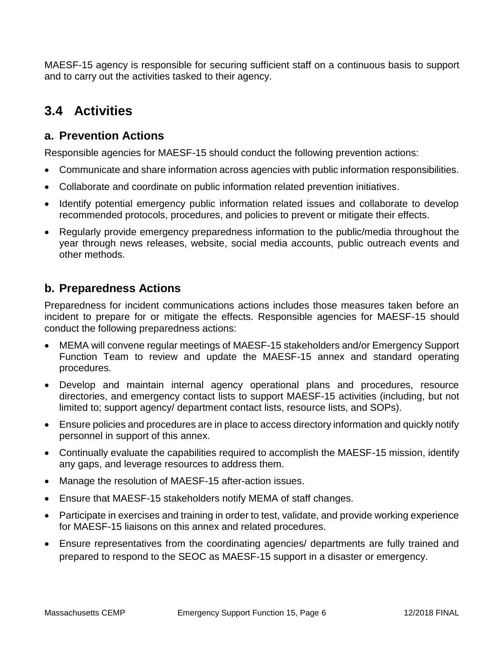MAESF-15 agency is responsible for securing sufficient staff on a continuous basis to support and to carry out the activities tasked to their agency.

# **3.4 Activities**

### **a. Prevention Actions**

Responsible agencies for MAESF-15 should conduct the following prevention actions:

- Communicate and share information across agencies with public information responsibilities.
- Collaborate and coordinate on public information related prevention initiatives.
- Identify potential emergency public information related issues and collaborate to develop recommended protocols, procedures, and policies to prevent or mitigate their effects.
- Regularly provide emergency preparedness information to the public/media throughout the year through news releases, website, social media accounts, public outreach events and other methods.

### **b. Preparedness Actions**

Preparedness for incident communications actions includes those measures taken before an incident to prepare for or mitigate the effects. Responsible agencies for MAESF-15 should conduct the following preparedness actions:

- MEMA will convene regular meetings of MAESF-15 stakeholders and/or Emergency Support Function Team to review and update the MAESF-15 annex and standard operating procedures.
- Develop and maintain internal agency operational plans and procedures, resource directories, and emergency contact lists to support MAESF-15 activities (including, but not limited to; support agency/ department contact lists, resource lists, and SOPs).
- Ensure policies and procedures are in place to access directory information and quickly notify personnel in support of this annex.
- Continually evaluate the capabilities required to accomplish the MAESF-15 mission, identify any gaps, and leverage resources to address them.
- Manage the resolution of MAESF-15 after-action issues.
- Ensure that MAESF-15 stakeholders notify MEMA of staff changes.
- Participate in exercises and training in order to test, validate, and provide working experience for MAESF-15 liaisons on this annex and related procedures.
- Ensure representatives from the coordinating agencies/ departments are fully trained and prepared to respond to the SEOC as MAESF-15 support in a disaster or emergency.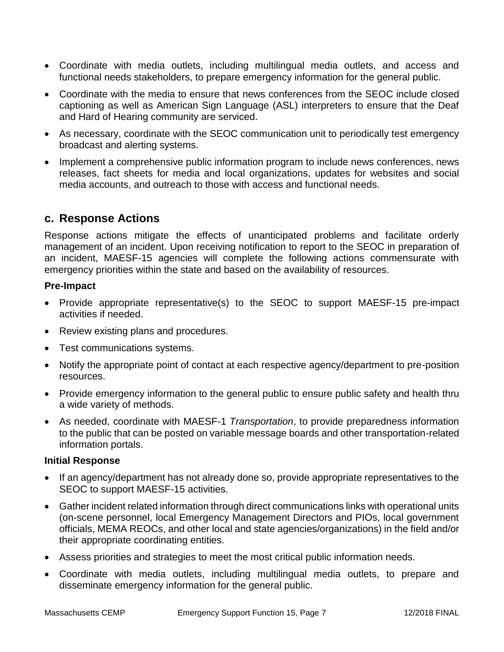- Coordinate with media outlets, including multilingual media outlets, and access and functional needs stakeholders, to prepare emergency information for the general public.
- Coordinate with the media to ensure that news conferences from the SEOC include closed captioning as well as American Sign Language (ASL) interpreters to ensure that the Deaf and Hard of Hearing community are serviced.
- As necessary, coordinate with the SEOC communication unit to periodically test emergency broadcast and alerting systems.
- Implement a comprehensive public information program to include news conferences, news releases, fact sheets for media and local organizations, updates for websites and social media accounts, and outreach to those with access and functional needs.

### **c. Response Actions**

Response actions mitigate the effects of unanticipated problems and facilitate orderly management of an incident. Upon receiving notification to report to the SEOC in preparation of an incident, MAESF-15 agencies will complete the following actions commensurate with emergency priorities within the state and based on the availability of resources.

#### **Pre-Impact**

- Provide appropriate representative(s) to the SEOC to support MAESF-15 pre-impact activities if needed.
- Review existing plans and procedures.
- Test communications systems.
- Notify the appropriate point of contact at each respective agency/department to pre-position resources.
- Provide emergency information to the general public to ensure public safety and health thru a wide variety of methods.
- As needed, coordinate with MAESF-1 *Transportation*, to provide preparedness information to the public that can be posted on variable message boards and other transportation-related information portals.

#### **Initial Response**

- If an agency/department has not already done so, provide appropriate representatives to the SEOC to support MAESF-15 activities.
- Gather incident related information through direct communications links with operational units (on-scene personnel, local Emergency Management Directors and PIOs, local government officials, MEMA REOCs, and other local and state agencies/organizations) in the field and/or their appropriate coordinating entities.
- Assess priorities and strategies to meet the most critical public information needs.
- Coordinate with media outlets, including multilingual media outlets, to prepare and disseminate emergency information for the general public.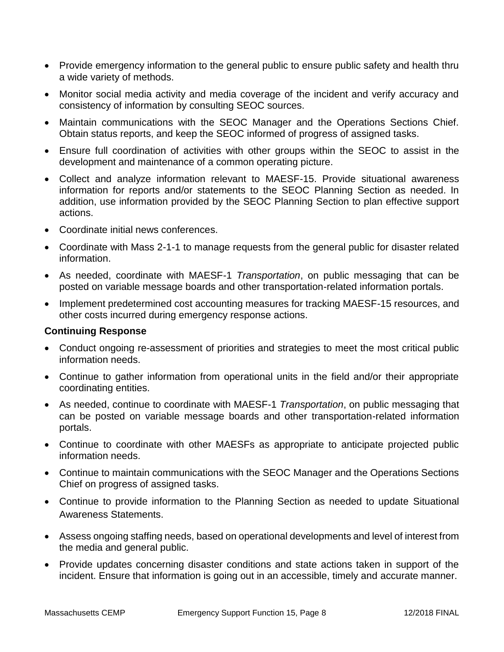- Provide emergency information to the general public to ensure public safety and health thru a wide variety of methods.
- Monitor social media activity and media coverage of the incident and verify accuracy and consistency of information by consulting SEOC sources.
- Maintain communications with the SEOC Manager and the Operations Sections Chief. Obtain status reports, and keep the SEOC informed of progress of assigned tasks.
- Ensure full coordination of activities with other groups within the SEOC to assist in the development and maintenance of a common operating picture.
- Collect and analyze information relevant to MAESF-15. Provide situational awareness information for reports and/or statements to the SEOC Planning Section as needed. In addition, use information provided by the SEOC Planning Section to plan effective support actions.
- Coordinate initial news conferences.
- Coordinate with Mass 2-1-1 to manage requests from the general public for disaster related information.
- As needed, coordinate with MAESF-1 *Transportation*, on public messaging that can be posted on variable message boards and other transportation-related information portals.
- Implement predetermined cost accounting measures for tracking MAESF-15 resources, and other costs incurred during emergency response actions.

#### **Continuing Response**

- Conduct ongoing re-assessment of priorities and strategies to meet the most critical public information needs.
- Continue to gather information from operational units in the field and/or their appropriate coordinating entities.
- As needed, continue to coordinate with MAESF-1 *Transportation*, on public messaging that can be posted on variable message boards and other transportation-related information portals.
- Continue to coordinate with other MAESFs as appropriate to anticipate projected public information needs.
- Continue to maintain communications with the SEOC Manager and the Operations Sections Chief on progress of assigned tasks.
- Continue to provide information to the Planning Section as needed to update Situational Awareness Statements.
- Assess ongoing staffing needs, based on operational developments and level of interest from the media and general public.
- Provide updates concerning disaster conditions and state actions taken in support of the incident. Ensure that information is going out in an accessible, timely and accurate manner.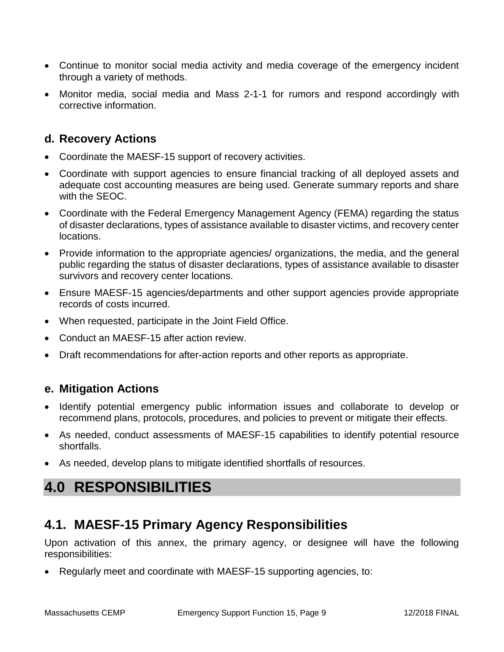- Continue to monitor social media activity and media coverage of the emergency incident through a variety of methods.
- Monitor media, social media and Mass 2-1-1 for rumors and respond accordingly with corrective information.

### **d. Recovery Actions**

- Coordinate the MAESF-15 support of recovery activities.
- Coordinate with support agencies to ensure financial tracking of all deployed assets and adequate cost accounting measures are being used. Generate summary reports and share with the SEOC.
- Coordinate with the Federal Emergency Management Agency (FEMA) regarding the status of disaster declarations, types of assistance available to disaster victims, and recovery center locations.
- Provide information to the appropriate agencies/ organizations, the media, and the general public regarding the status of disaster declarations, types of assistance available to disaster survivors and recovery center locations.
- Ensure MAESF-15 agencies/departments and other support agencies provide appropriate records of costs incurred.
- When requested, participate in the Joint Field Office.
- Conduct an MAESF-15 after action review.
- Draft recommendations for after-action reports and other reports as appropriate.

### **e. Mitigation Actions**

- Identify potential emergency public information issues and collaborate to develop or recommend plans, protocols, procedures, and policies to prevent or mitigate their effects.
- As needed, conduct assessments of MAESF-15 capabilities to identify potential resource shortfalls.
- As needed, develop plans to mitigate identified shortfalls of resources.

# **4.0 RESPONSIBILITIES**

### **4.1. MAESF-15 Primary Agency Responsibilities**

Upon activation of this annex, the primary agency, or designee will have the following responsibilities:

Regularly meet and coordinate with MAESF-15 supporting agencies, to: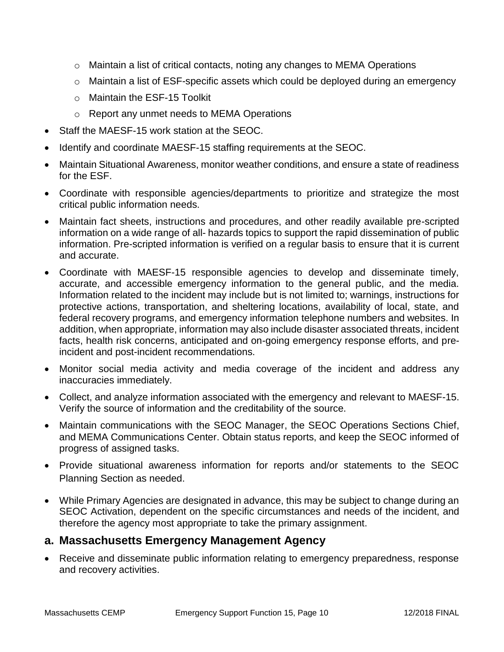- $\circ$  Maintain a list of critical contacts, noting any changes to MEMA Operations
- o Maintain a list of ESF-specific assets which could be deployed during an emergency
- o Maintain the ESF-15 Toolkit
- o Report any unmet needs to MEMA Operations
- Staff the MAESF-15 work station at the SEOC.
- Identify and coordinate MAESF-15 staffing requirements at the SEOC.
- Maintain Situational Awareness, monitor weather conditions, and ensure a state of readiness for the ESF.
- Coordinate with responsible agencies/departments to prioritize and strategize the most critical public information needs.
- Maintain fact sheets, instructions and procedures, and other readily available pre-scripted information on a wide range of all- hazards topics to support the rapid dissemination of public information. Pre-scripted information is verified on a regular basis to ensure that it is current and accurate.
- Coordinate with MAESF-15 responsible agencies to develop and disseminate timely, accurate, and accessible emergency information to the general public, and the media. Information related to the incident may include but is not limited to; warnings, instructions for protective actions, transportation, and sheltering locations, availability of local, state, and federal recovery programs, and emergency information telephone numbers and websites. In addition, when appropriate, information may also include disaster associated threats, incident facts, health risk concerns, anticipated and on-going emergency response efforts, and preincident and post-incident recommendations.
- Monitor social media activity and media coverage of the incident and address any inaccuracies immediately.
- Collect, and analyze information associated with the emergency and relevant to MAESF-15. Verify the source of information and the creditability of the source.
- Maintain communications with the SEOC Manager, the SEOC Operations Sections Chief, and MEMA Communications Center. Obtain status reports, and keep the SEOC informed of progress of assigned tasks.
- Provide situational awareness information for reports and/or statements to the SEOC Planning Section as needed.
- While Primary Agencies are designated in advance, this may be subject to change during an SEOC Activation, dependent on the specific circumstances and needs of the incident, and therefore the agency most appropriate to take the primary assignment.

### **a. Massachusetts Emergency Management Agency**

 Receive and disseminate public information relating to emergency preparedness, response and recovery activities.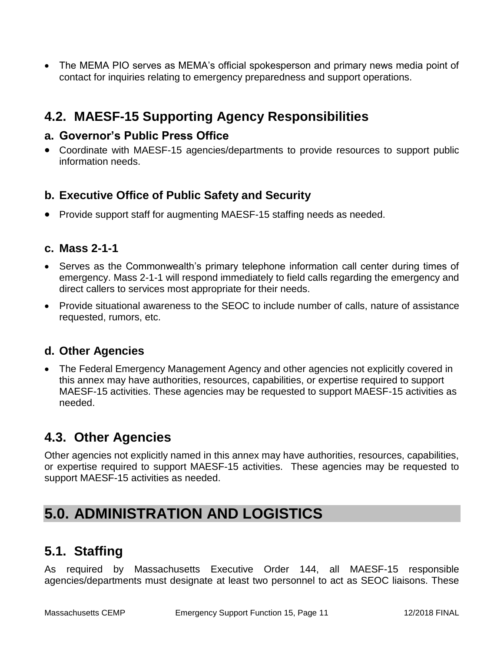The MEMA PIO serves as MEMA's official spokesperson and primary news media point of contact for inquiries relating to emergency preparedness and support operations.

# **4.2. MAESF-15 Supporting Agency Responsibilities**

### **a. Governor's Public Press Office**

 Coordinate with MAESF-15 agencies/departments to provide resources to support public information needs.

### **b. Executive Office of Public Safety and Security**

• Provide support staff for augmenting MAESF-15 staffing needs as needed.

### **c. Mass 2-1-1**

- Serves as the Commonwealth's primary telephone information call center during times of emergency. Mass 2-1-1 will respond immediately to field calls regarding the emergency and direct callers to services most appropriate for their needs.
- Provide situational awareness to the SEOC to include number of calls, nature of assistance requested, rumors, etc.

### **d. Other Agencies**

• The Federal Emergency Management Agency and other agencies not explicitly covered in this annex may have authorities, resources, capabilities, or expertise required to support MAESF-15 activities. These agencies may be requested to support MAESF-15 activities as needed.

### **4.3. Other Agencies**

Other agencies not explicitly named in this annex may have authorities, resources, capabilities, or expertise required to support MAESF-15 activities. These agencies may be requested to support MAESF-15 activities as needed.

# **5.0. ADMINISTRATION AND LOGISTICS**

### **5.1. Staffing**

As required by Massachusetts Executive Order 144, all MAESF-15 responsible agencies/departments must designate at least two personnel to act as SEOC liaisons. These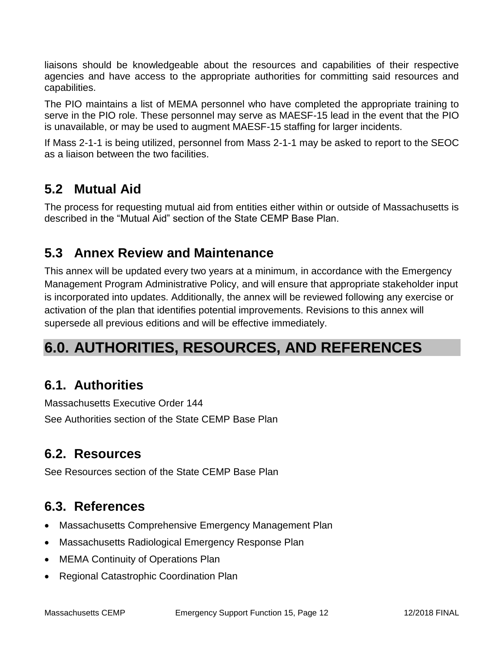liaisons should be knowledgeable about the resources and capabilities of their respective agencies and have access to the appropriate authorities for committing said resources and capabilities.

The PIO maintains a list of MEMA personnel who have completed the appropriate training to serve in the PIO role. These personnel may serve as MAESF-15 lead in the event that the PIO is unavailable, or may be used to augment MAESF-15 staffing for larger incidents.

If Mass 2-1-1 is being utilized, personnel from Mass 2-1-1 may be asked to report to the SEOC as a liaison between the two facilities.

# **5.2 Mutual Aid**

The process for requesting mutual aid from entities either within or outside of Massachusetts is described in the "Mutual Aid" section of the State CEMP Base Plan.

## **5.3 Annex Review and Maintenance**

This annex will be updated every two years at a minimum, in accordance with the Emergency Management Program Administrative Policy, and will ensure that appropriate stakeholder input is incorporated into updates. Additionally, the annex will be reviewed following any exercise or activation of the plan that identifies potential improvements. Revisions to this annex will supersede all previous editions and will be effective immediately.

# **6.0. AUTHORITIES, RESOURCES, AND REFERENCES**

## **6.1. Authorities**

Massachusetts Executive Order 144 See Authorities section of the State CEMP Base Plan

## **6.2. Resources**

See Resources section of the State CEMP Base Plan

# **6.3. References**

- Massachusetts Comprehensive Emergency Management Plan
- Massachusetts Radiological Emergency Response Plan
- MEMA Continuity of Operations Plan
- Regional Catastrophic Coordination Plan